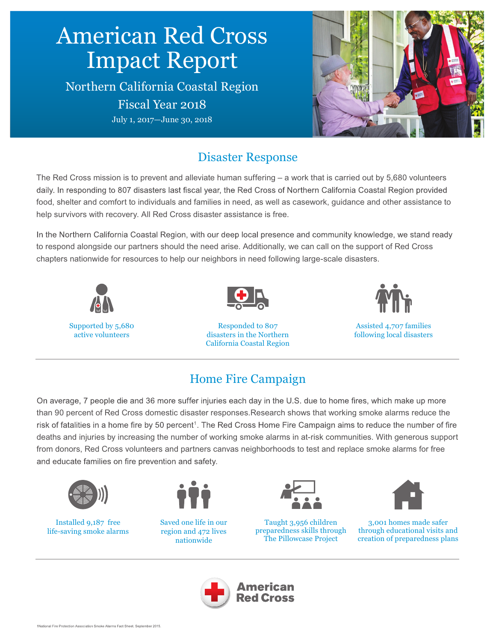# American Red Cross Impact Report Northern California Coastal Region Fiscal Year 2018 July 1, 2017—June 30, 2018

## Disaster Response

The Red Cross mission is to prevent and alleviate human suffering – a work that is carried out by 5,680 volunteers daily. In responding to 807 disasters last fiscal year, the Red Cross of Northern California Coastal Region provided food, shelter and comfort to individuals and families in need, as well as casework, guidance and other assistance to help survivors with recovery. All Red Cross disaster assistance is free.

In the Northern California Coastal Region, with our deep local presence and community knowledge, we stand ready to respond alongside our partners should the need arise. Additionally, we can call on the support of Red Cross chapters nationwide for resources to help our neighbors in need following large-scale disasters.



## Home Fire Campaign

On average, 7 people die and 36 more suffer injuries each day in the U.S. due to home fires, which make up more than 90 percent of Red Cross domestic disaster responses.Research shows that working smoke alarms reduce the risk of fatalities in a home fire by 50 percent<sup>1</sup>. The Red Cross Home Fire Campaign aims to reduce the number of fire deaths and injuries by increasing the number of working smoke alarms in at-risk communities. With generous support from donors, Red Cross volunteers and partners canvas neighborhoods to test and replace smoke alarms for free and educate families on fire prevention and safety.



Installed 9,187 free life-saving smoke alarms



Saved one life in our region and 472 lives nationwide







3,001 homes made safer through educational visits and creation of preparedness plans